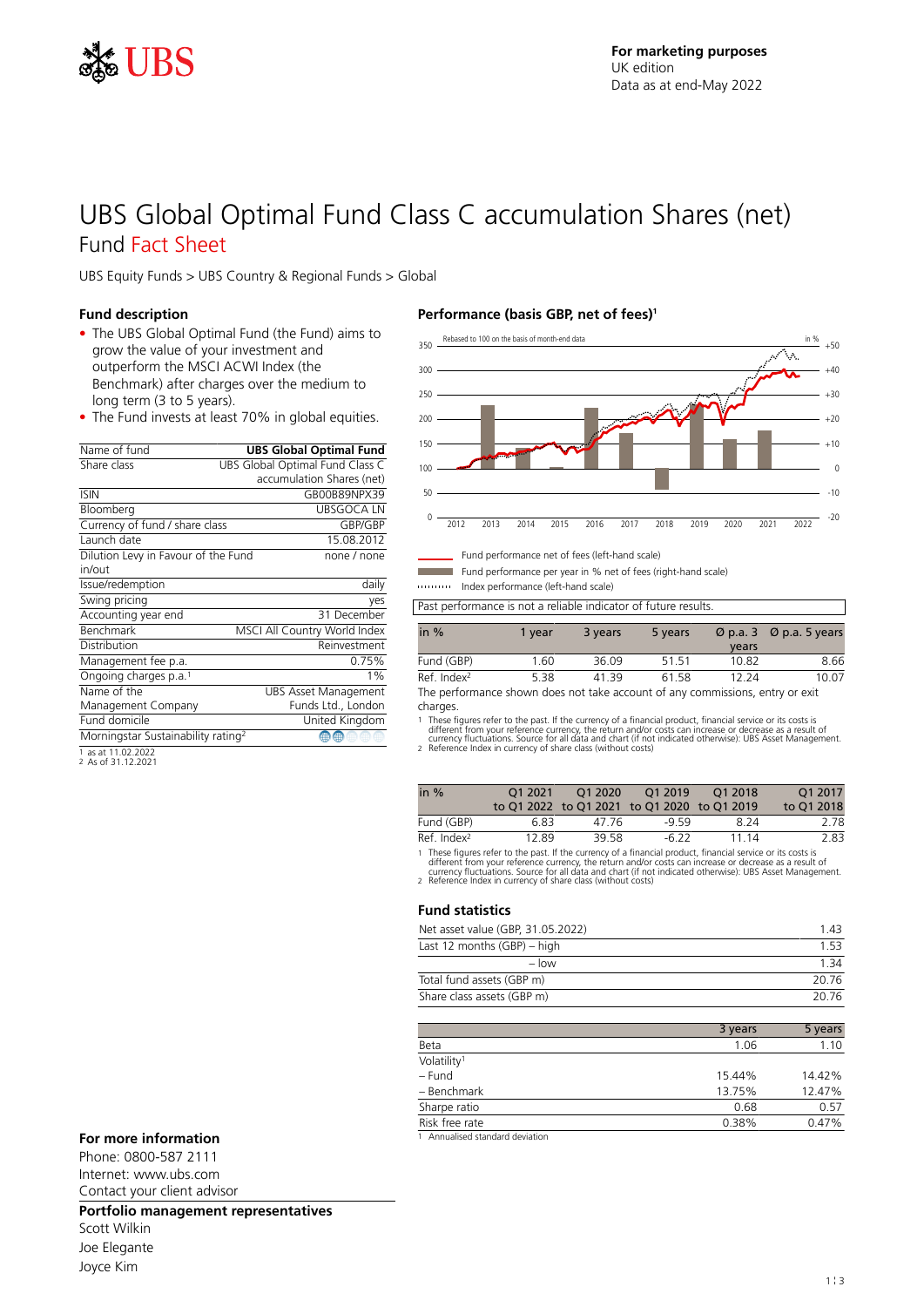

# UBS Global Optimal Fund Class C accumulation Shares (net) Fund Fact Sheet

UBS Equity Funds > UBS Country & Regional Funds > Global

### **Fund description**

- The UBS Global Optimal Fund (the Fund) aims to grow the value of your investment and outperform the MSCI ACWI Index (the Benchmark) after charges over the medium to long term (3 to 5 years).
- The Fund invests at least 70% in global equities.

| Name of fund                                   | <b>UBS Global Optimal Fund</b>  |
|------------------------------------------------|---------------------------------|
| Share class                                    | UBS Global Optimal Fund Class C |
|                                                | accumulation Shares (net)       |
| <b>ISIN</b>                                    | GB00B89NPX39                    |
| Bloomberg                                      | <b>UBSGOCALN</b>                |
| Currency of fund / share class                 | GBP/GBP                         |
| Launch date                                    | 15.08.2012                      |
| Dilution Levy in Favour of the Fund            | none / none                     |
| in/out                                         |                                 |
| Issue/redemption                               | daily                           |
| Swing pricing                                  | yes                             |
| Accounting year end                            | 31 December                     |
| Benchmark                                      | MSCI All Country World Index    |
| Distribution                                   | Reinvestment                    |
| Management fee p.a.                            | 0.75%                           |
| Ongoing charges p.a. <sup>1</sup>              | $1\%$                           |
| Name of the                                    | <b>UBS Asset Management</b>     |
| Management Company                             | Funds Ltd., London              |
| Fund domicile                                  | United Kingdom                  |
| Morningstar Sustainability rating <sup>2</sup> | Œ                               |
|                                                |                                 |

1 as at 11.02.2022 2 As of 31.12.2021

## **Performance (basis GBP, net of fees)<sup>1</sup>**



Fund performance net of fees (left-hand scale)

Fund performance per year in % net of fees (right-hand scale) Index performance (left-hand scale)

Past performance is not a reliable indicator of future results.

| in $%$                  | 1 vear | 3 years | 5 years | years | $\varnothing$ p.a. 3 $\varnothing$ p.a. 5 years |
|-------------------------|--------|---------|---------|-------|-------------------------------------------------|
| Fund (GBP)              | 1.60   | 36.09   | 51 51   | 10.82 | 8.66                                            |
| Ref. Index <sup>2</sup> | 5.38   | 4139    | 61.58   | 12 24 | 10.07                                           |

The performance shown does not take account of any commissions, entry or exit charges.

1 These figures refer to the past. If the currency of a financial product, financial service or its costs is<br>different from your reference currency, the return and/or costs can increase or decrease as a result of<br>currency

| in $%$                  | 01 2021 | O1 2020 | O1 2019                                     | O1 2018 | O1 2017    |
|-------------------------|---------|---------|---------------------------------------------|---------|------------|
|                         |         |         | to Q1 2022 to Q1 2021 to Q1 2020 to Q1 2019 |         | to Q1 2018 |
| Fund (GBP)              | 6.83    | 47 76   | -9.59                                       | 824     | 2.78       |
| Ref. Index <sup>2</sup> | 12.89   | 39.58   | $-6.22$                                     | 11 14   | 2.83       |

1 These figures refer to the past. If the currency of a financial product, financial service or its costs is<br>different from your reference currency, the return and/or costs can increase or decrease as a result of<br>currency

#### **Fund statistics**

| Net asset value (GBP, 31.05.2022) | 1 43  |
|-----------------------------------|-------|
| Last 12 months $(GBP)$ – high     | 153   |
| $-$ low                           | 134   |
| Total fund assets (GBP m)         | 20.76 |
| Share class assets (GBP m)        | 20.76 |

|                                                    | 3 years | 5 years |
|----------------------------------------------------|---------|---------|
| Beta                                               | 1.06    | 1.10    |
| Volatility <sup>1</sup>                            |         |         |
| – Fund                                             | 15.44%  | 14.42%  |
| - Benchmark                                        | 13.75%  | 12.47%  |
| Sharpe ratio                                       | 0.68    | 0.57    |
| Risk free rate                                     | 0.38%   | 0.47%   |
| the Americal incident condition of the conditions. |         |         |

### **For more information** 1 **1 1** Annualised standard deviation

Phone: 0800-587 2111 Internet: www.ubs.com Contact your client advisor

### **Portfolio management representatives**

Scott Wilkin Joe Elegante Joyce Kim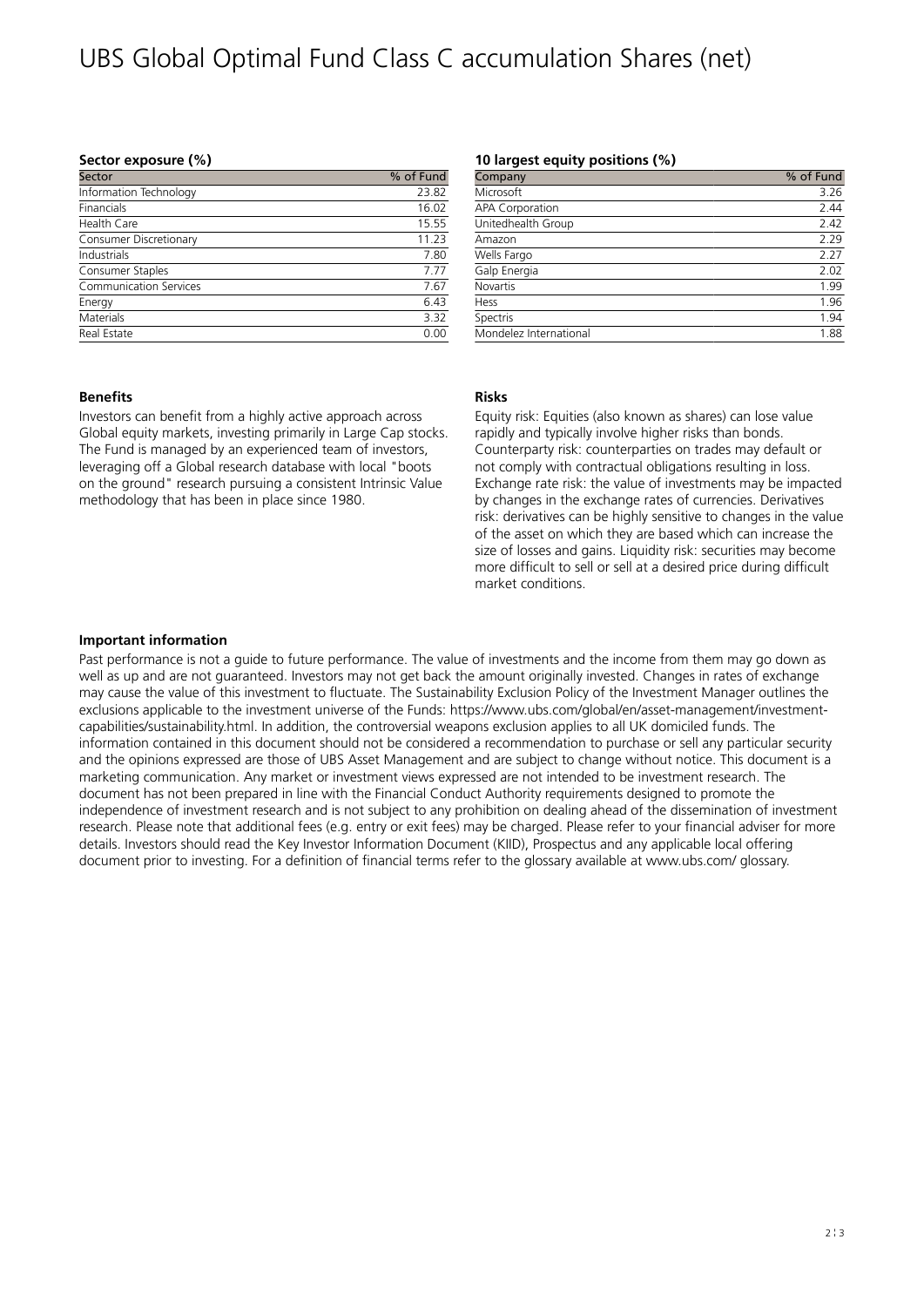# UBS Global Optimal Fund Class C accumulation Shares (net)

### **Sector exposure (%)**

| Sector                        | % of Fund |
|-------------------------------|-----------|
| Information Technology        | 23.82     |
| Financials                    | 16.02     |
| Health Care                   | 15.55     |
| Consumer Discretionary        | 11.23     |
| Industrials                   | 7.80      |
| Consumer Staples              | 7.77      |
| <b>Communication Services</b> | 7.67      |
| Energy                        | 6.43      |
| Materials                     | 3.32      |
| Real Estate                   | 0.00      |

### **10 largest equity positions (%)**

| Company                | % of Fund |
|------------------------|-----------|
| Microsoft              | 3.26      |
| <b>APA Corporation</b> | 2.44      |
| Unitedhealth Group     | 2.42      |
| Amazon                 | 2.29      |
| Wells Fargo            | 2.27      |
| Galp Energia           | 2.02      |
| <b>Novartis</b>        | 1.99      |
| Hess                   | 1.96      |
| Spectris               | 1.94      |
| Mondelez International | 1.88      |

### **Benefits**

Investors can benefit from a highly active approach across Global equity markets, investing primarily in Large Cap stocks. The Fund is managed by an experienced team of investors, leveraging off a Global research database with local "boots on the ground" research pursuing a consistent Intrinsic Value methodology that has been in place since 1980.

### **Risks**

Equity risk: Equities (also known as shares) can lose value rapidly and typically involve higher risks than bonds. Counterparty risk: counterparties on trades may default or not comply with contractual obligations resulting in loss. Exchange rate risk: the value of investments may be impacted by changes in the exchange rates of currencies. Derivatives risk: derivatives can be highly sensitive to changes in the value of the asset on which they are based which can increase the size of losses and gains. Liquidity risk: securities may become more difficult to sell or sell at a desired price during difficult market conditions.

### **Important information**

Past performance is not a guide to future performance. The value of investments and the income from them may go down as well as up and are not guaranteed. Investors may not get back the amount originally invested. Changes in rates of exchange may cause the value of this investment to fluctuate. The Sustainability Exclusion Policy of the Investment Manager outlines the exclusions applicable to the investment universe of the Funds: https://www.ubs.com/global/en/asset-management/investmentcapabilities/sustainability.html. In addition, the controversial weapons exclusion applies to all UK domiciled funds. The information contained in this document should not be considered a recommendation to purchase or sell any particular security and the opinions expressed are those of UBS Asset Management and are subject to change without notice. This document is a marketing communication. Any market or investment views expressed are not intended to be investment research. The document has not been prepared in line with the Financial Conduct Authority requirements designed to promote the independence of investment research and is not subject to any prohibition on dealing ahead of the dissemination of investment research. Please note that additional fees (e.g. entry or exit fees) may be charged. Please refer to your financial adviser for more details. Investors should read the Key Investor Information Document (KIID), Prospectus and any applicable local offering document prior to investing. For a definition of financial terms refer to the glossary available at www.ubs.com/ glossary.